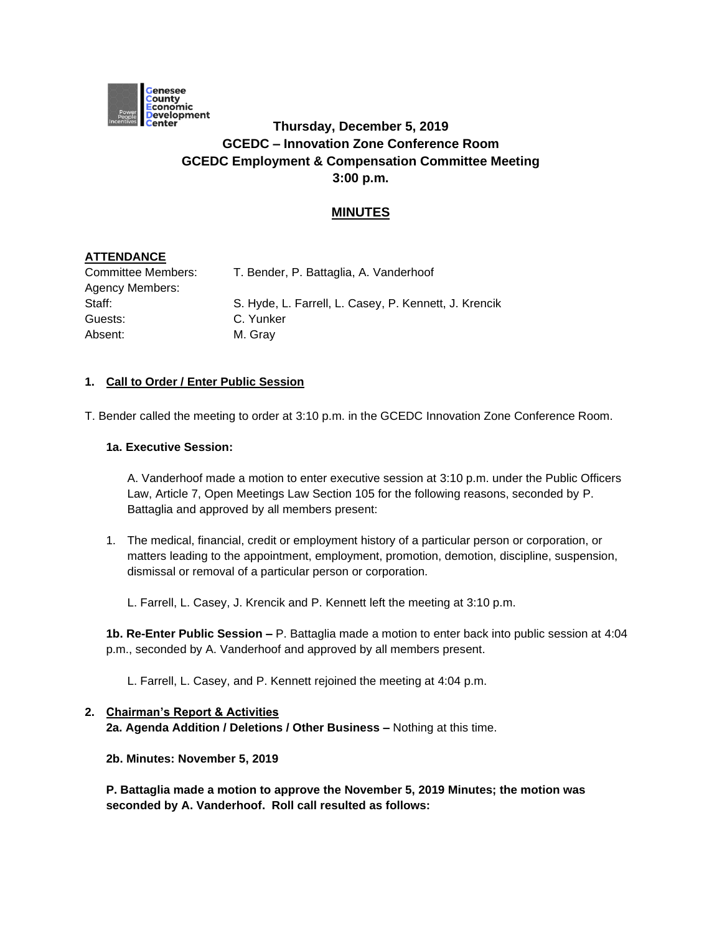

# **Thursday, December 5, 2019 GCEDC – Innovation Zone Conference Room GCEDC Employment & Compensation Committee Meeting 3:00 p.m.**

## **MINUTES**

## **ATTENDANCE**

| Committee Members:     | T. Bender, P. Battaglia, A. Vanderhoof                |
|------------------------|-------------------------------------------------------|
| <b>Agency Members:</b> |                                                       |
| Staff:                 | S. Hyde, L. Farrell, L. Casey, P. Kennett, J. Krencik |
| Guests:                | C. Yunker                                             |
| Absent:                | M. Gray                                               |

## **1. Call to Order / Enter Public Session**

T. Bender called the meeting to order at 3:10 p.m. in the GCEDC Innovation Zone Conference Room.

#### **1a. Executive Session:**

A. Vanderhoof made a motion to enter executive session at 3:10 p.m. under the Public Officers Law, Article 7, Open Meetings Law Section 105 for the following reasons, seconded by P. Battaglia and approved by all members present:

1. The medical, financial, credit or employment history of a particular person or corporation, or matters leading to the appointment, employment, promotion, demotion, discipline, suspension, dismissal or removal of a particular person or corporation.

L. Farrell, L. Casey, J. Krencik and P. Kennett left the meeting at 3:10 p.m.

**1b. Re-Enter Public Session –** P. Battaglia made a motion to enter back into public session at 4:04 p.m., seconded by A. Vanderhoof and approved by all members present.

L. Farrell, L. Casey, and P. Kennett rejoined the meeting at 4:04 p.m.

# **2. Chairman's Report & Activities 2a. Agenda Addition / Deletions / Other Business –** Nothing at this time.

**2b. Minutes: November 5, 2019** 

**P. Battaglia made a motion to approve the November 5, 2019 Minutes; the motion was seconded by A. Vanderhoof. Roll call resulted as follows:**